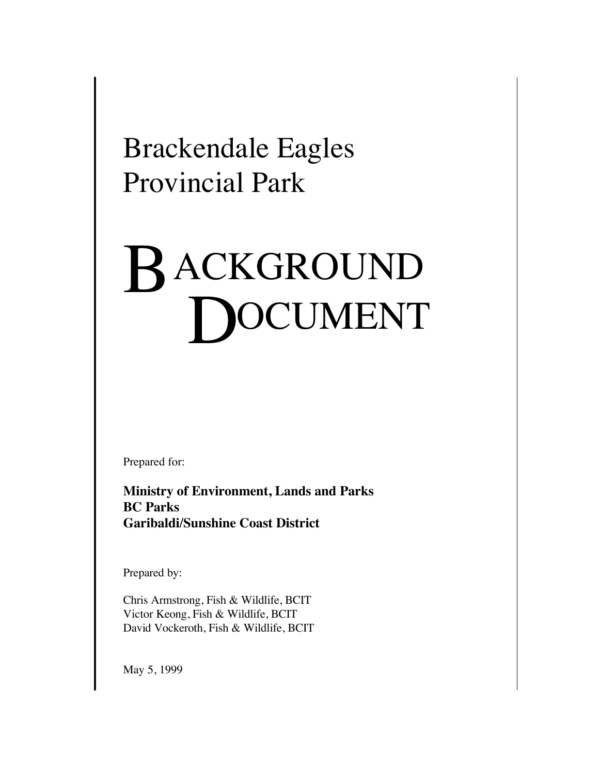Brackendale Eagles Provincial Park

# B ACKGROUND **OCUMENT**

Prepared for:

**Ministry of Environment, Lands and Parks BC Parks Garibaldi/Sunshine Coast District**

Prepared by:

Chris Armstrong, Fish & Wildlife, BCIT Victor Keong, Fish & Wildlife, BCIT David Vockeroth, Fish & Wildlife, BCIT

May 5, 1999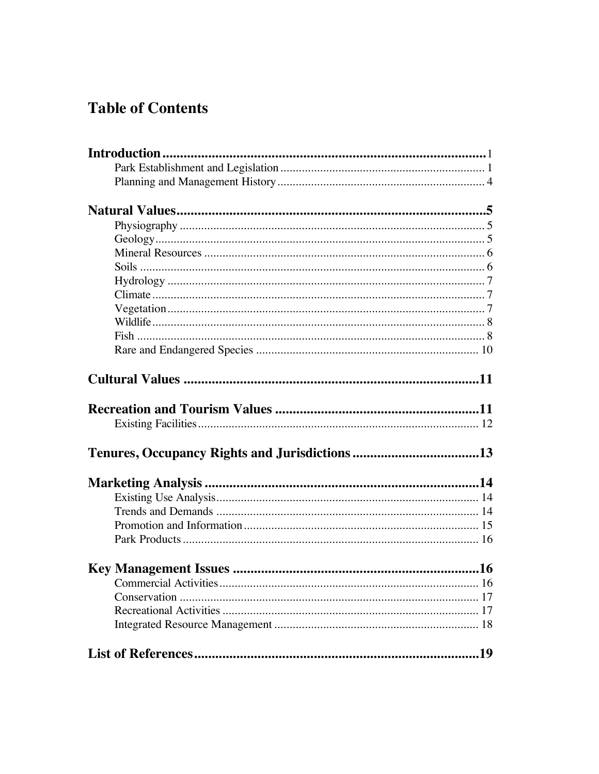# **Table of Contents**

| Commercial Activities. |  |
|------------------------|--|
|                        |  |
|                        |  |
|                        |  |
|                        |  |
|                        |  |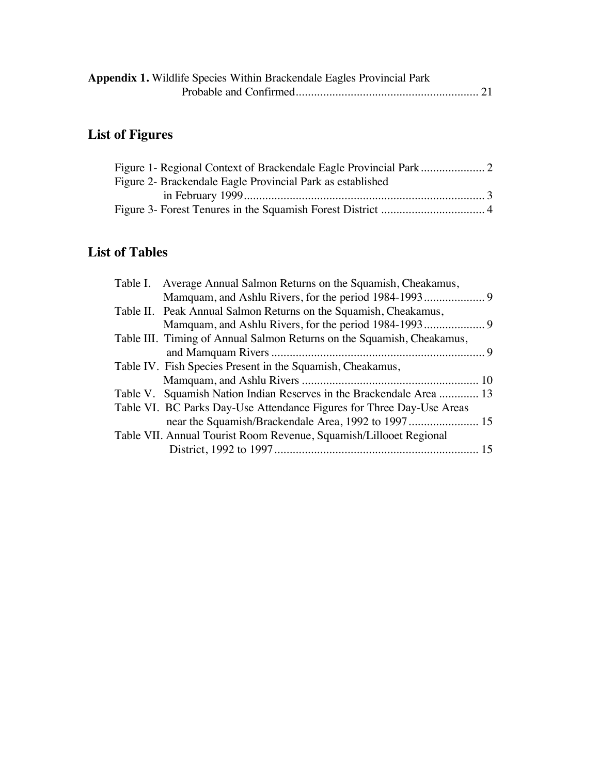| Appendix 1. Wildlife Species Within Brackendale Eagles Provincial Park |  |
|------------------------------------------------------------------------|--|
|                                                                        |  |

# **List of Figures**

| Figure 2- Brackendale Eagle Provincial Park as established |  |
|------------------------------------------------------------|--|
|                                                            |  |
|                                                            |  |

### **List of Tables**

| Table I. Average Annual Salmon Returns on the Squamish, Cheakamus,     |  |
|------------------------------------------------------------------------|--|
|                                                                        |  |
| Table II. Peak Annual Salmon Returns on the Squamish, Cheakamus,       |  |
|                                                                        |  |
| Table III. Timing of Annual Salmon Returns on the Squamish, Cheakamus, |  |
|                                                                        |  |
| Table IV. Fish Species Present in the Squamish, Cheakamus,             |  |
|                                                                        |  |
| Table V. Squamish Nation Indian Reserves in the Brackendale Area  13   |  |
| Table VI. BC Parks Day-Use Attendance Figures for Three Day-Use Areas  |  |
|                                                                        |  |
| Table VII. Annual Tourist Room Revenue, Squamish/Lillooet Regional     |  |
|                                                                        |  |
|                                                                        |  |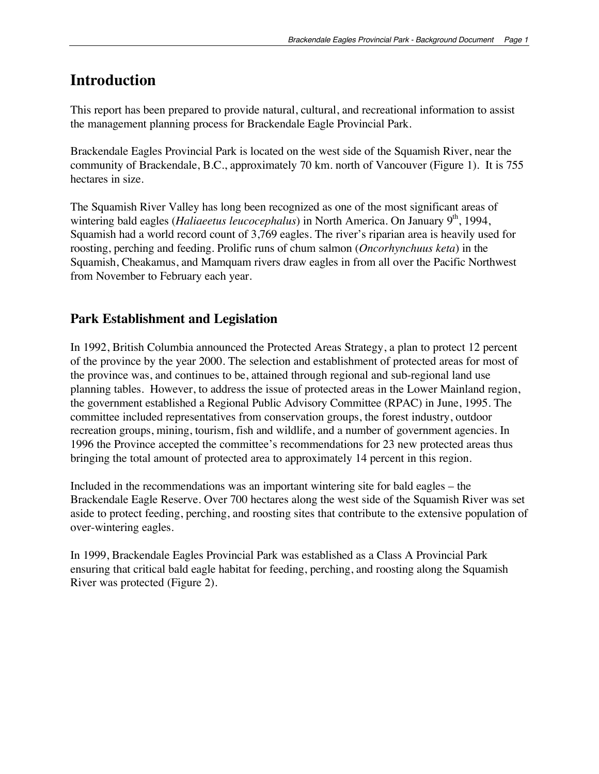### **Introduction**

This report has been prepared to provide natural, cultural, and recreational information to assist the management planning process for Brackendale Eagle Provincial Park.

Brackendale Eagles Provincial Park is located on the west side of the Squamish River, near the community of Brackendale, B.C., approximately 70 km. north of Vancouver (Figure 1). It is 755 hectares in size.

The Squamish River Valley has long been recognized as one of the most significant areas of wintering bald eagles (*Haliaeetus leucocephalus*) in North America. On January 9<sup>th</sup>, 1994, Squamish had a world record count of 3,769 eagles. The river's riparian area is heavily used for roosting, perching and feeding. Prolific runs of chum salmon (*Oncorhynchuus keta*) in the Squamish, Cheakamus, and Mamquam rivers draw eagles in from all over the Pacific Northwest from November to February each year.

### **Park Establishment and Legislation**

In 1992, British Columbia announced the Protected Areas Strategy, a plan to protect 12 percent of the province by the year 2000. The selection and establishment of protected areas for most of the province was, and continues to be, attained through regional and sub-regional land use planning tables. However, to address the issue of protected areas in the Lower Mainland region, the government established a Regional Public Advisory Committee (RPAC) in June, 1995. The committee included representatives from conservation groups, the forest industry, outdoor recreation groups, mining, tourism, fish and wildlife, and a number of government agencies. In 1996 the Province accepted the committee's recommendations for 23 new protected areas thus bringing the total amount of protected area to approximately 14 percent in this region.

Included in the recommendations was an important wintering site for bald eagles – the Brackendale Eagle Reserve. Over 700 hectares along the west side of the Squamish River was set aside to protect feeding, perching, and roosting sites that contribute to the extensive population of over-wintering eagles.

In 1999, Brackendale Eagles Provincial Park was established as a Class A Provincial Park ensuring that critical bald eagle habitat for feeding, perching, and roosting along the Squamish River was protected (Figure 2).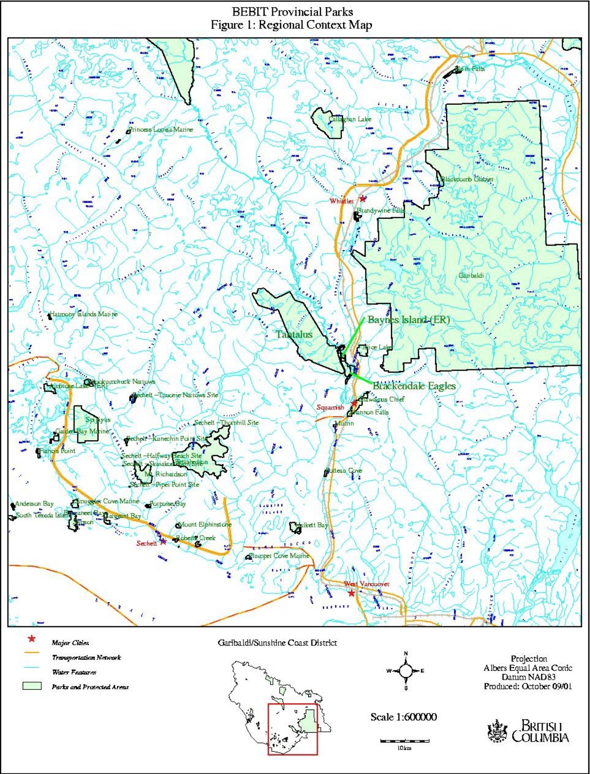#### **BEBIT Provincial Parks** Figure 1: Regional Context Map



**Major Cities Transportation Network** Water Features

Parks and Protected Areas

Garibaldi/Sunshine Coast District



Scale 1:600000

 $10km$ 

Projection<br>Albers Equal Area Conic Datum NAD83 Produced: October 09/01

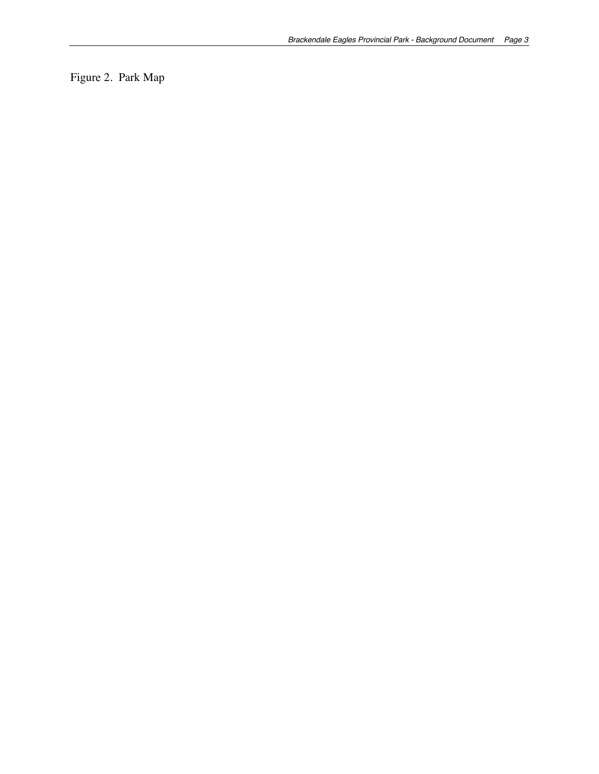Figure 2. Park Map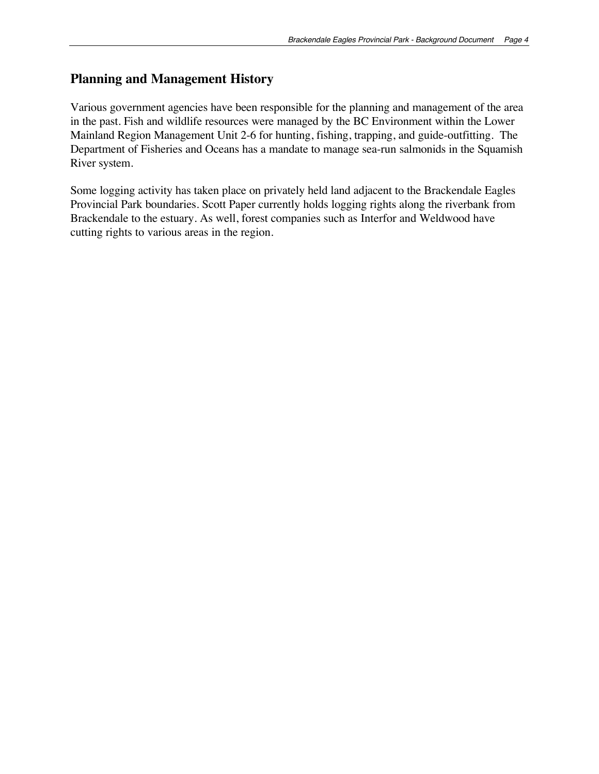### **Planning and Management History**

Various government agencies have been responsible for the planning and management of the area in the past. Fish and wildlife resources were managed by the BC Environment within the Lower Mainland Region Management Unit 2-6 for hunting, fishing, trapping, and guide-outfitting. The Department of Fisheries and Oceans has a mandate to manage sea-run salmonids in the Squamish River system.

Some logging activity has taken place on privately held land adjacent to the Brackendale Eagles Provincial Park boundaries. Scott Paper currently holds logging rights along the riverbank from Brackendale to the estuary. As well, forest companies such as Interfor and Weldwood have cutting rights to various areas in the region.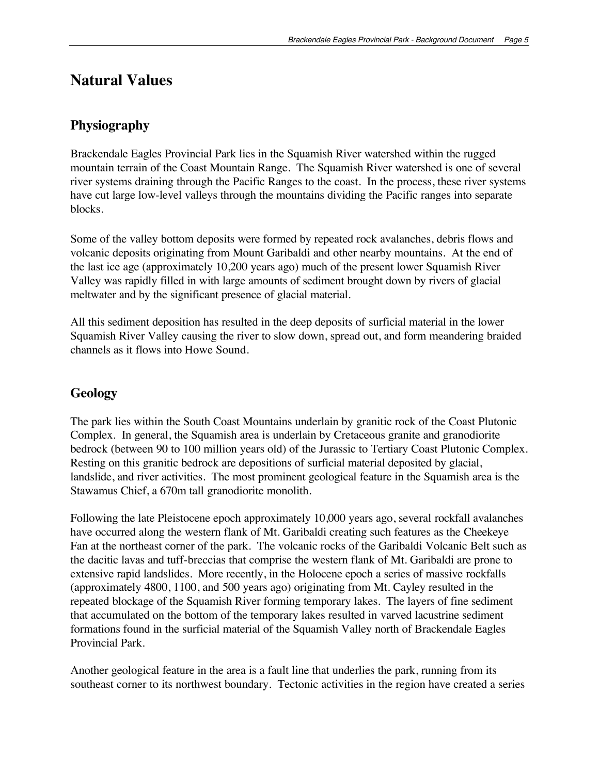### **Natural Values**

### **Physiography**

Brackendale Eagles Provincial Park lies in the Squamish River watershed within the rugged mountain terrain of the Coast Mountain Range. The Squamish River watershed is one of several river systems draining through the Pacific Ranges to the coast. In the process, these river systems have cut large low-level valleys through the mountains dividing the Pacific ranges into separate blocks.

Some of the valley bottom deposits were formed by repeated rock avalanches, debris flows and volcanic deposits originating from Mount Garibaldi and other nearby mountains. At the end of the last ice age (approximately 10,200 years ago) much of the present lower Squamish River Valley was rapidly filled in with large amounts of sediment brought down by rivers of glacial meltwater and by the significant presence of glacial material.

All this sediment deposition has resulted in the deep deposits of surficial material in the lower Squamish River Valley causing the river to slow down, spread out, and form meandering braided channels as it flows into Howe Sound.

### **Geology**

The park lies within the South Coast Mountains underlain by granitic rock of the Coast Plutonic Complex. In general, the Squamish area is underlain by Cretaceous granite and granodiorite bedrock (between 90 to 100 million years old) of the Jurassic to Tertiary Coast Plutonic Complex. Resting on this granitic bedrock are depositions of surficial material deposited by glacial, landslide, and river activities. The most prominent geological feature in the Squamish area is the Stawamus Chief, a 670m tall granodiorite monolith.

Following the late Pleistocene epoch approximately 10,000 years ago, several rockfall avalanches have occurred along the western flank of Mt. Garibaldi creating such features as the Cheekeye Fan at the northeast corner of the park. The volcanic rocks of the Garibaldi Volcanic Belt such as the dacitic lavas and tuff-breccias that comprise the western flank of Mt. Garibaldi are prone to extensive rapid landslides. More recently, in the Holocene epoch a series of massive rockfalls (approximately 4800, 1100, and 500 years ago) originating from Mt. Cayley resulted in the repeated blockage of the Squamish River forming temporary lakes. The layers of fine sediment that accumulated on the bottom of the temporary lakes resulted in varved lacustrine sediment formations found in the surficial material of the Squamish Valley north of Brackendale Eagles Provincial Park.

Another geological feature in the area is a fault line that underlies the park, running from its southeast corner to its northwest boundary. Tectonic activities in the region have created a series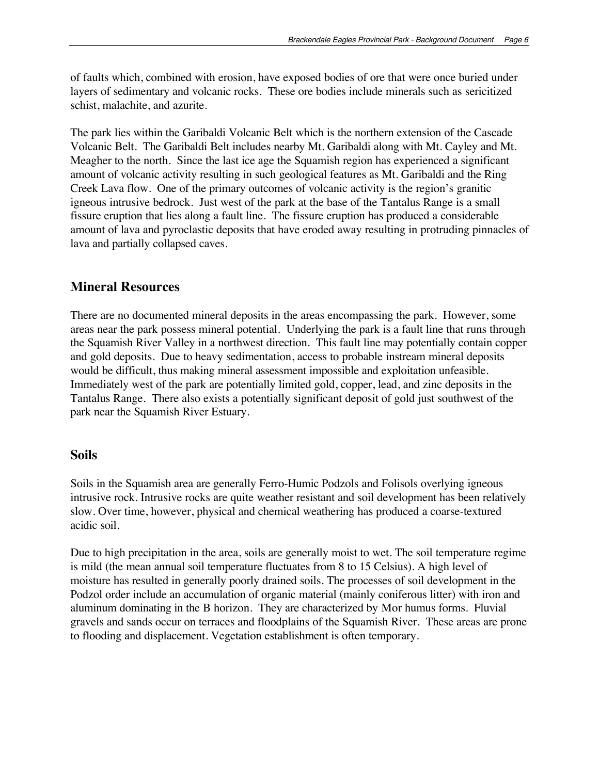of faults which, combined with erosion, have exposed bodies of ore that were once buried under layers of sedimentary and volcanic rocks. These ore bodies include minerals such as sericitized schist, malachite, and azurite.

The park lies within the Garibaldi Volcanic Belt which is the northern extension of the Cascade Volcanic Belt. The Garibaldi Belt includes nearby Mt. Garibaldi along with Mt. Cayley and Mt. Meagher to the north. Since the last ice age the Squamish region has experienced a significant amount of volcanic activity resulting in such geological features as Mt. Garibaldi and the Ring Creek Lava flow. One of the primary outcomes of volcanic activity is the region's granitic igneous intrusive bedrock. Just west of the park at the base of the Tantalus Range is a small fissure eruption that lies along a fault line. The fissure eruption has produced a considerable amount of lava and pyroclastic deposits that have eroded away resulting in protruding pinnacles of lava and partially collapsed caves.

### **Mineral Resources**

There are no documented mineral deposits in the areas encompassing the park. However, some areas near the park possess mineral potential. Underlying the park is a fault line that runs through the Squamish River Valley in a northwest direction. This fault line may potentially contain copper and gold deposits. Due to heavy sedimentation, access to probable instream mineral deposits would be difficult, thus making mineral assessment impossible and exploitation unfeasible. Immediately west of the park are potentially limited gold, copper, lead, and zinc deposits in the Tantalus Range. There also exists a potentially significant deposit of gold just southwest of the park near the Squamish River Estuary.

#### **Soils**

Soils in the Squamish area are generally Ferro-Humic Podzols and Folisols overlying igneous intrusive rock. Intrusive rocks are quite weather resistant and soil development has been relatively slow. Over time, however, physical and chemical weathering has produced a coarse-textured acidic soil.

Due to high precipitation in the area, soils are generally moist to wet. The soil temperature regime is mild (the mean annual soil temperature fluctuates from 8 to 15 Celsius). A high level of moisture has resulted in generally poorly drained soils. The processes of soil development in the Podzol order include an accumulation of organic material (mainly coniferous litter) with iron and aluminum dominating in the B horizon. They are characterized by Mor humus forms. Fluvial gravels and sands occur on terraces and floodplains of the Squamish River. These areas are prone to flooding and displacement. Vegetation establishment is often temporary.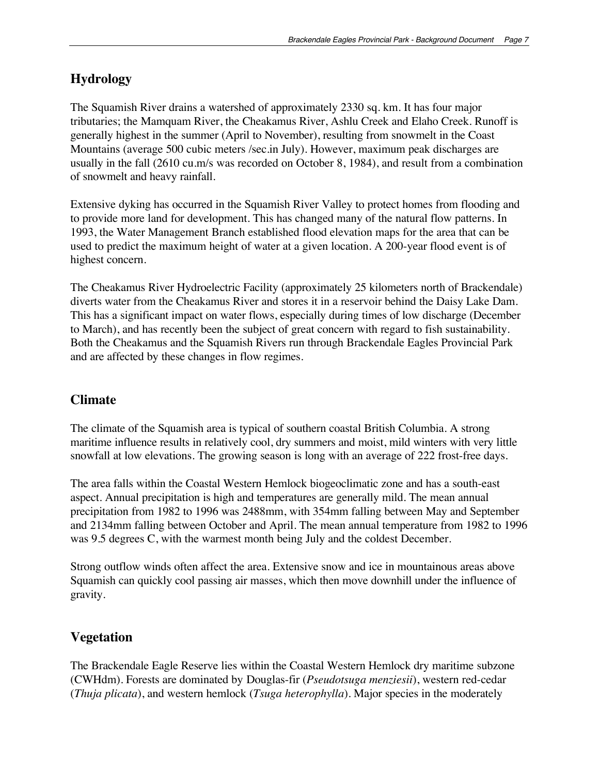### **Hydrology**

The Squamish River drains a watershed of approximately 2330 sq. km. It has four major tributaries; the Mamquam River, the Cheakamus River, Ashlu Creek and Elaho Creek. Runoff is generally highest in the summer (April to November), resulting from snowmelt in the Coast Mountains (average 500 cubic meters /sec.in July). However, maximum peak discharges are usually in the fall (2610 cu.m/s was recorded on October 8, 1984), and result from a combination of snowmelt and heavy rainfall.

Extensive dyking has occurred in the Squamish River Valley to protect homes from flooding and to provide more land for development. This has changed many of the natural flow patterns. In 1993, the Water Management Branch established flood elevation maps for the area that can be used to predict the maximum height of water at a given location. A 200-year flood event is of highest concern.

The Cheakamus River Hydroelectric Facility (approximately 25 kilometers north of Brackendale) diverts water from the Cheakamus River and stores it in a reservoir behind the Daisy Lake Dam. This has a significant impact on water flows, especially during times of low discharge (December to March), and has recently been the subject of great concern with regard to fish sustainability. Both the Cheakamus and the Squamish Rivers run through Brackendale Eagles Provincial Park and are affected by these changes in flow regimes.

### **Climate**

The climate of the Squamish area is typical of southern coastal British Columbia. A strong maritime influence results in relatively cool, dry summers and moist, mild winters with very little snowfall at low elevations. The growing season is long with an average of 222 frost-free days.

The area falls within the Coastal Western Hemlock biogeoclimatic zone and has a south-east aspect. Annual precipitation is high and temperatures are generally mild. The mean annual precipitation from 1982 to 1996 was 2488mm, with 354mm falling between May and September and 2134mm falling between October and April. The mean annual temperature from 1982 to 1996 was 9.5 degrees C, with the warmest month being July and the coldest December.

Strong outflow winds often affect the area. Extensive snow and ice in mountainous areas above Squamish can quickly cool passing air masses, which then move downhill under the influence of gravity.

### **Vegetation**

The Brackendale Eagle Reserve lies within the Coastal Western Hemlock dry maritime subzone (CWHdm). Forests are dominated by Douglas-fir (*Pseudotsuga menziesii*), western red-cedar (*Thuja plicata*), and western hemlock (*Tsuga heterophylla*). Major species in the moderately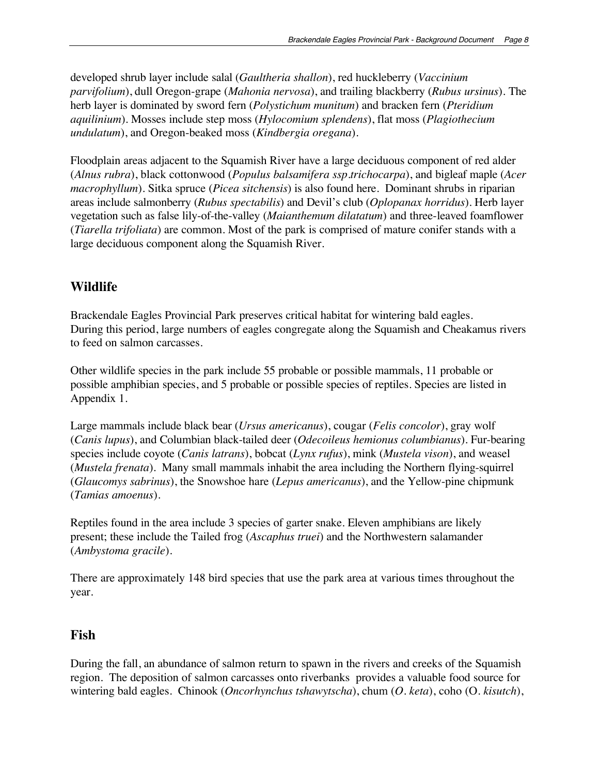developed shrub layer include salal (*Gaultheria shallon*), red huckleberry (*Vaccinium parvifolium*), dull Oregon-grape (*Mahonia nervosa*), and trailing blackberry (*Rubus ursinus*). The herb layer is dominated by sword fern (*Polystichum munitum*) and bracken fern (*Pteridium aquilinium*). Mosses include step moss (*Hylocomium splendens*), flat moss (*Plagiothecium undulatum*), and Oregon-beaked moss (*Kindbergia oregana*).

Floodplain areas adjacent to the Squamish River have a large deciduous component of red alder (*Alnus rubra*), black cottonwood (*Populus balsamifera ssp.trichocarpa*), and bigleaf maple (*Acer macrophyllum*). Sitka spruce (*Picea sitchensis*) is also found here. Dominant shrubs in riparian areas include salmonberry (*Rubus spectabilis*) and Devil's club (*Oplopanax horridus*). Herb layer vegetation such as false lily-of-the-valley (*Maianthemum dilatatum*) and three-leaved foamflower (*Tiarella trifoliata*) are common. Most of the park is comprised of mature conifer stands with a large deciduous component along the Squamish River.

### **Wildlife**

Brackendale Eagles Provincial Park preserves critical habitat for wintering bald eagles. During this period, large numbers of eagles congregate along the Squamish and Cheakamus rivers to feed on salmon carcasses.

Other wildlife species in the park include 55 probable or possible mammals, 11 probable or possible amphibian species, and 5 probable or possible species of reptiles. Species are listed in Appendix 1.

Large mammals include black bear (*Ursus americanus*), cougar (*Felis concolor*), gray wolf (*Canis lupus*), and Columbian black-tailed deer (*Odecoileus hemionus columbianus*). Fur-bearing species include coyote (*Canis latrans*), bobcat (*Lynx rufus*), mink (*Mustela vison*), and weasel (*Mustela frenata*). Many small mammals inhabit the area including the Northern flying-squirrel (*Glaucomys sabrinus*), the Snowshoe hare (*Lepus americanus*), and the Yellow-pine chipmunk (*Tamias amoenus*).

Reptiles found in the area include 3 species of garter snake. Eleven amphibians are likely present; these include the Tailed frog (*Ascaphus truei*) and the Northwestern salamander (*Ambystoma gracile*).

There are approximately 148 bird species that use the park area at various times throughout the year.

### **Fish**

During the fall, an abundance of salmon return to spawn in the rivers and creeks of the Squamish region. The deposition of salmon carcasses onto riverbanks provides a valuable food source for wintering bald eagles. Chinook (*Oncorhynchus tshawytscha*), chum (*O. keta*), coho (O. *kisutch*),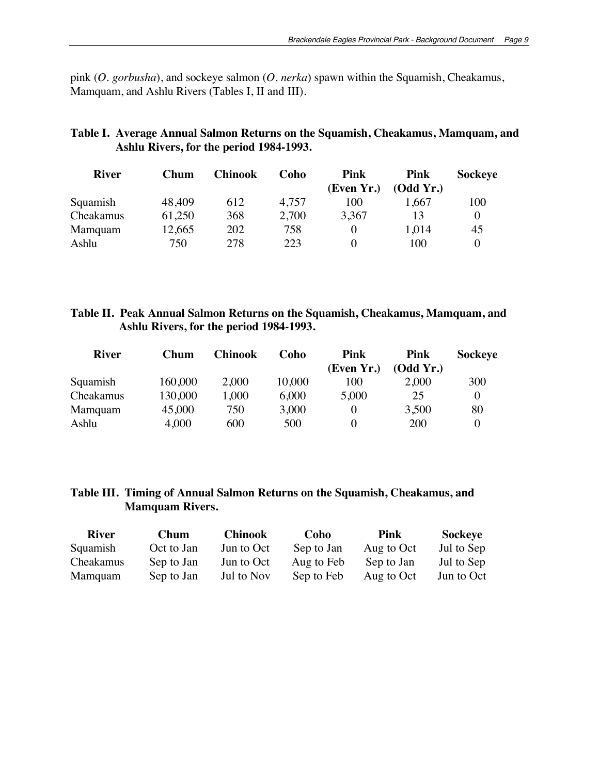pink (*O. gorbusha*), and sockeye salmon (*O. nerka*) spawn within the Squamish, Cheakamus, Mamquam, and Ashlu Rivers (Tables I, II and III).

### **Table I. Average Annual Salmon Returns on the Squamish, Cheakamus, Mamquam, and Ashlu Rivers, for the period 1984-1993.**

| <b>River</b> | Chum   | <b>Chinook</b> | Coho  | <b>Pink</b> | Pink      | <b>Sockeye</b> |
|--------------|--------|----------------|-------|-------------|-----------|----------------|
|              |        |                |       | (Even Yr.)  | (Odd Yr.) |                |
| Squamish     | 48,409 | 612            | 4,757 | 100         | 1.667     | 100            |
| Cheakamus    | 61,250 | 368            | 2,700 | 3.367       | 13        |                |
| Mamquam      | 12,665 | 202            | 758   |             | 1,014     | 45             |
| Ashlu        | 750    | 278            | 223   |             | 100       |                |

#### **Table II. Peak Annual Salmon Returns on the Squamish, Cheakamus, Mamquam, and Ashlu Rivers, for the period 1984-1993.**

| <b>River</b> | Chum    | <b>Chinook</b> | Coho   | Pink       | Pink      | <b>Sockeye</b> |
|--------------|---------|----------------|--------|------------|-----------|----------------|
|              |         |                |        | (Even Yr.) | (Odd Yr.) |                |
| Squamish     | 160,000 | 2,000          | 10,000 | 100        | 2,000     | 300            |
| Cheakamus    | 130,000 | 1.000          | 6,000  | 5,000      | 25        |                |
| Mamquam      | 45,000  | 750            | 3,000  |            | 3,500     | 80             |
| Ashlu        | 4,000   | 600            | 500    |            | 200       |                |

#### **Table III. Timing of Annual Salmon Returns on the Squamish, Cheakamus, and Mamquam Rivers.**

| <b>River</b> | Chum       | <b>Chinook</b> | Coho       | Pink       | <b>Sockeye</b> |
|--------------|------------|----------------|------------|------------|----------------|
| Squamish     | Oct to Jan | Jun to Oct     | Sep to Jan | Aug to Oct | Jul to Sep     |
| Cheakamus    | Sep to Jan | Jun to Oct     | Aug to Feb | Sep to Jan | Jul to Sep     |
| Mamquam      | Sep to Jan | Jul to Nov     | Sep to Feb | Aug to Oct | Jun to Oct     |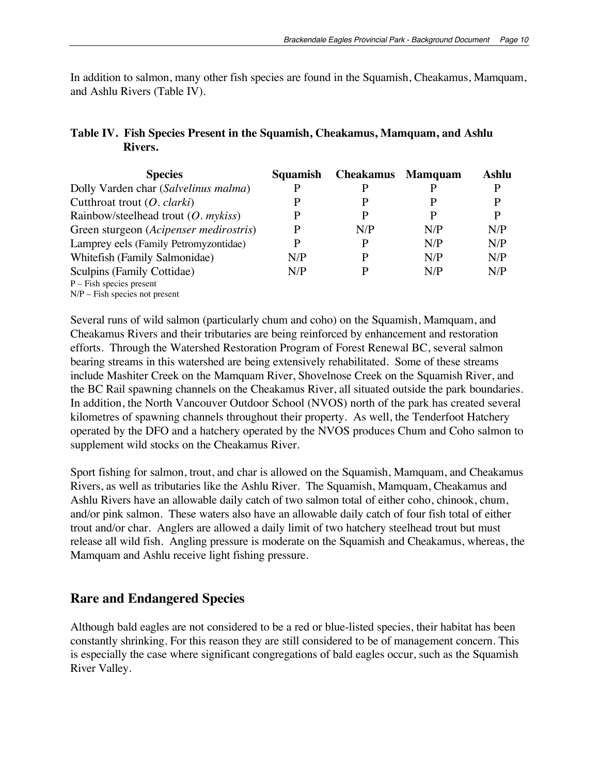In addition to salmon, many other fish species are found in the Squamish, Cheakamus, Mamquam, and Ashlu Rivers (Table IV).

### **Table IV. Fish Species Present in the Squamish, Cheakamus, Mamquam, and Ashlu Rivers.**

| <b>Species</b>                         | Squamish | <b>Cheakamus</b> | <b>Mamquam</b> | <b>Ashlu</b> |
|----------------------------------------|----------|------------------|----------------|--------------|
| Dolly Varden char (Salvelinus malma)   |          |                  |                |              |
| Cutthroat trout $(O. clarki)$          |          |                  |                | P            |
| Rainbow/steelhead trout $(O.$ mykiss)  | Р        |                  |                | P            |
| Green sturgeon (Acipenser medirostris) | P        | N/P              | N/P            | N/P          |
| Lamprey eels (Family Petromyzontidae)  | P        | P                | N/P            | N/P          |
| Whitefish (Family Salmonidae)          | N/P      |                  | N/P            | N/P          |
| Sculpins (Family Cottidae)             | N/P      |                  | N/P            | N/P          |
| $P$ – Fish species present             |          |                  |                |              |
| $N/P$ – Fish species not present       |          |                  |                |              |

Several runs of wild salmon (particularly chum and coho) on the Squamish, Mamquam, and Cheakamus Rivers and their tributaries are being reinforced by enhancement and restoration efforts. Through the Watershed Restoration Program of Forest Renewal BC, several salmon bearing streams in this watershed are being extensively rehabilitated. Some of these streams include Mashiter Creek on the Mamquam River, Shovelnose Creek on the Squamish River, and the BC Rail spawning channels on the Cheakamus River, all situated outside the park boundaries. In addition, the North Vancouver Outdoor School (NVOS) north of the park has created several kilometres of spawning channels throughout their property. As well, the Tenderfoot Hatchery operated by the DFO and a hatchery operated by the NVOS produces Chum and Coho salmon to supplement wild stocks on the Cheakamus River.

Sport fishing for salmon, trout, and char is allowed on the Squamish, Mamquam, and Cheakamus Rivers, as well as tributaries like the Ashlu River. The Squamish, Mamquam, Cheakamus and Ashlu Rivers have an allowable daily catch of two salmon total of either coho, chinook, chum, and/or pink salmon. These waters also have an allowable daily catch of four fish total of either trout and/or char. Anglers are allowed a daily limit of two hatchery steelhead trout but must release all wild fish. Angling pressure is moderate on the Squamish and Cheakamus, whereas, the Mamquam and Ashlu receive light fishing pressure.

### **Rare and Endangered Species**

Although bald eagles are not considered to be a red or blue-listed species, their habitat has been constantly shrinking. For this reason they are still considered to be of management concern. This is especially the case where significant congregations of bald eagles occur, such as the Squamish River Valley.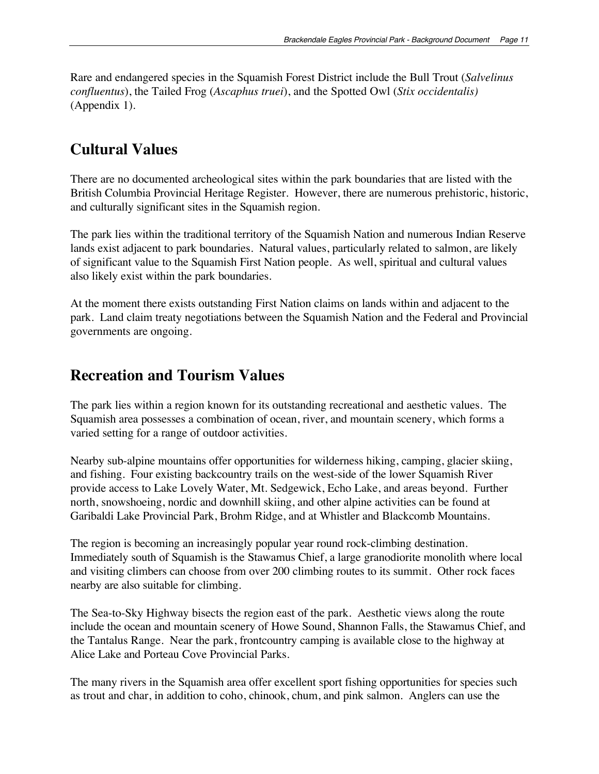Rare and endangered species in the Squamish Forest District include the Bull Trout (*Salvelinus confluentus*), the Tailed Frog (*Ascaphus truei*), and the Spotted Owl (*Stix occidentalis)* (Appendix 1).

### **Cultural Values**

There are no documented archeological sites within the park boundaries that are listed with the British Columbia Provincial Heritage Register. However, there are numerous prehistoric, historic, and culturally significant sites in the Squamish region.

The park lies within the traditional territory of the Squamish Nation and numerous Indian Reserve lands exist adjacent to park boundaries. Natural values, particularly related to salmon, are likely of significant value to the Squamish First Nation people. As well, spiritual and cultural values also likely exist within the park boundaries.

At the moment there exists outstanding First Nation claims on lands within and adjacent to the park. Land claim treaty negotiations between the Squamish Nation and the Federal and Provincial governments are ongoing.

### **Recreation and Tourism Values**

The park lies within a region known for its outstanding recreational and aesthetic values. The Squamish area possesses a combination of ocean, river, and mountain scenery, which forms a varied setting for a range of outdoor activities.

Nearby sub-alpine mountains offer opportunities for wilderness hiking, camping, glacier skiing, and fishing. Four existing backcountry trails on the west-side of the lower Squamish River provide access to Lake Lovely Water, Mt. Sedgewick, Echo Lake, and areas beyond. Further north, snowshoeing, nordic and downhill skiing, and other alpine activities can be found at Garibaldi Lake Provincial Park, Brohm Ridge, and at Whistler and Blackcomb Mountains.

The region is becoming an increasingly popular year round rock-climbing destination. Immediately south of Squamish is the Stawamus Chief, a large granodiorite monolith where local and visiting climbers can choose from over 200 climbing routes to its summit. Other rock faces nearby are also suitable for climbing.

The Sea-to-Sky Highway bisects the region east of the park. Aesthetic views along the route include the ocean and mountain scenery of Howe Sound, Shannon Falls, the Stawamus Chief, and the Tantalus Range. Near the park, frontcountry camping is available close to the highway at Alice Lake and Porteau Cove Provincial Parks.

The many rivers in the Squamish area offer excellent sport fishing opportunities for species such as trout and char, in addition to coho, chinook, chum, and pink salmon. Anglers can use the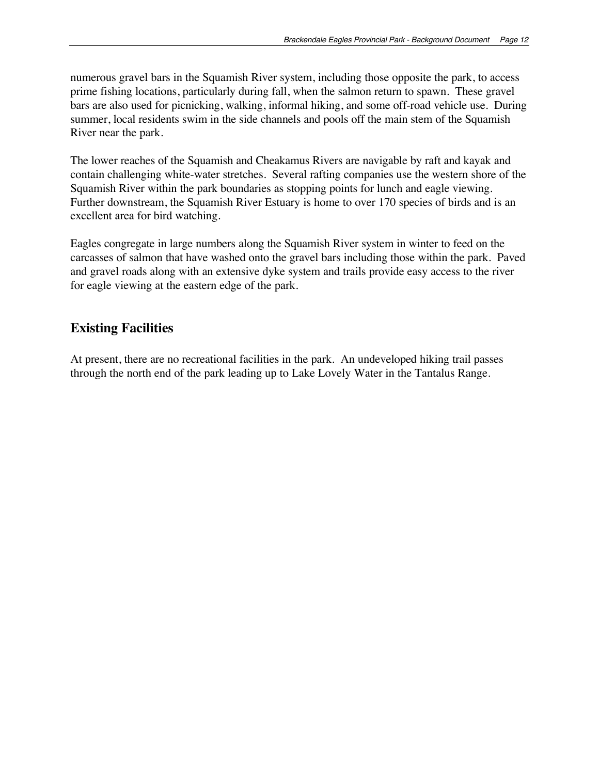numerous gravel bars in the Squamish River system, including those opposite the park, to access prime fishing locations, particularly during fall, when the salmon return to spawn. These gravel bars are also used for picnicking, walking, informal hiking, and some off-road vehicle use. During summer, local residents swim in the side channels and pools off the main stem of the Squamish River near the park.

The lower reaches of the Squamish and Cheakamus Rivers are navigable by raft and kayak and contain challenging white-water stretches. Several rafting companies use the western shore of the Squamish River within the park boundaries as stopping points for lunch and eagle viewing. Further downstream, the Squamish River Estuary is home to over 170 species of birds and is an excellent area for bird watching.

Eagles congregate in large numbers along the Squamish River system in winter to feed on the carcasses of salmon that have washed onto the gravel bars including those within the park. Paved and gravel roads along with an extensive dyke system and trails provide easy access to the river for eagle viewing at the eastern edge of the park.

#### **Existing Facilities**

At present, there are no recreational facilities in the park. An undeveloped hiking trail passes through the north end of the park leading up to Lake Lovely Water in the Tantalus Range.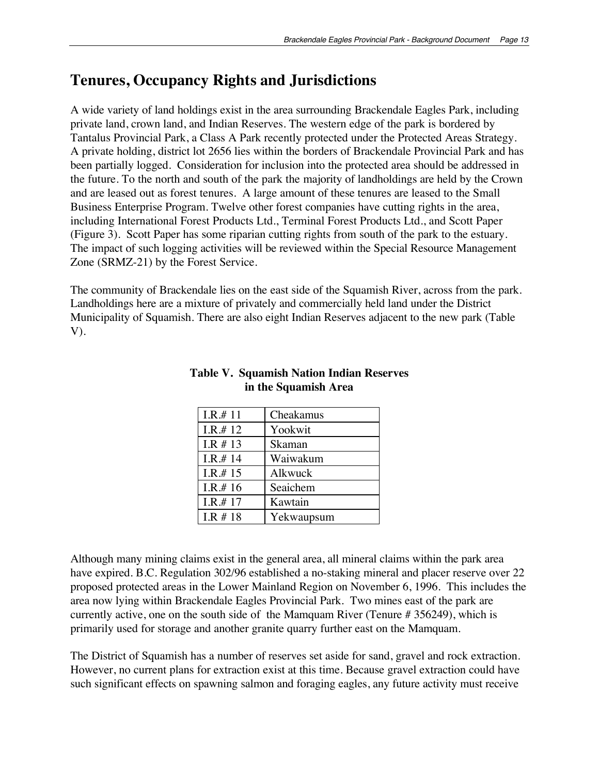### **Tenures, Occupancy Rights and Jurisdictions**

A wide variety of land holdings exist in the area surrounding Brackendale Eagles Park, including private land, crown land, and Indian Reserves. The western edge of the park is bordered by Tantalus Provincial Park, a Class A Park recently protected under the Protected Areas Strategy. A private holding, district lot 2656 lies within the borders of Brackendale Provincial Park and has been partially logged. Consideration for inclusion into the protected area should be addressed in the future. To the north and south of the park the majority of landholdings are held by the Crown and are leased out as forest tenures. A large amount of these tenures are leased to the Small Business Enterprise Program. Twelve other forest companies have cutting rights in the area, including International Forest Products Ltd., Terminal Forest Products Ltd., and Scott Paper (Figure 3). Scott Paper has some riparian cutting rights from south of the park to the estuary. The impact of such logging activities will be reviewed within the Special Resource Management Zone (SRMZ-21) by the Forest Service.

The community of Brackendale lies on the east side of the Squamish River, across from the park. Landholdings here are a mixture of privately and commercially held land under the District Municipality of Squamish. There are also eight Indian Reserves adjacent to the new park (Table V).

| I.R.# 11    | Cheakamus  |
|-------------|------------|
| I.R.# 12    | Yookwit    |
| I.R $# 13$  | Skaman     |
| I.R.# 14    | Waiwakum   |
| I.R.# 15    | Alkwuck    |
| I.R.# 16    | Seaichem   |
| I.R.# 17    | Kawtain    |
| $I.R \# 18$ | Yekwaupsum |

#### **Table V. Squamish Nation Indian Reserves in the Squamish Area**

Although many mining claims exist in the general area, all mineral claims within the park area have expired. B.C. Regulation 302/96 established a no-staking mineral and placer reserve over 22 proposed protected areas in the Lower Mainland Region on November 6, 1996. This includes the area now lying within Brackendale Eagles Provincial Park. Two mines east of the park are currently active, one on the south side of the Mamquam River (Tenure # 356249), which is primarily used for storage and another granite quarry further east on the Mamquam.

The District of Squamish has a number of reserves set aside for sand, gravel and rock extraction. However, no current plans for extraction exist at this time. Because gravel extraction could have such significant effects on spawning salmon and foraging eagles, any future activity must receive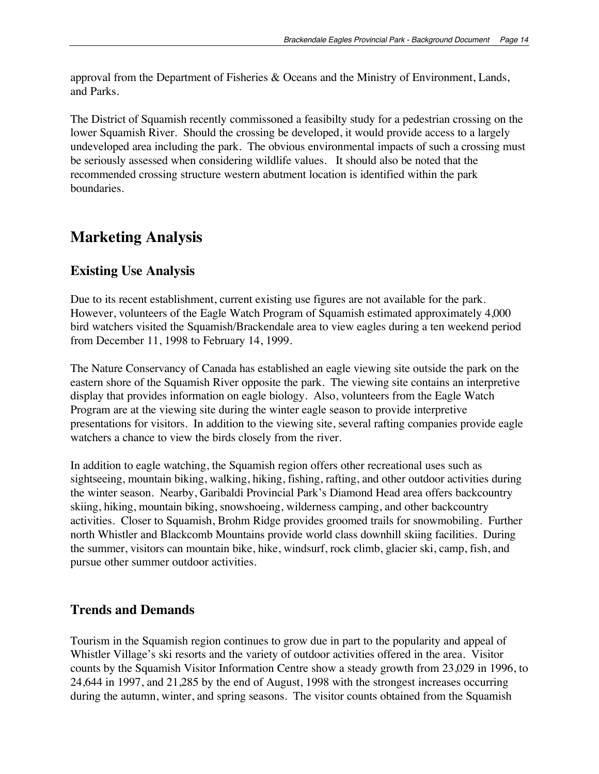approval from the Department of Fisheries & Oceans and the Ministry of Environment, Lands, and Parks.

The District of Squamish recently commissoned a feasibilty study for a pedestrian crossing on the lower Squamish River. Should the crossing be developed, it would provide access to a largely undeveloped area including the park. The obvious environmental impacts of such a crossing must be seriously assessed when considering wildlife values. It should also be noted that the recommended crossing structure western abutment location is identified within the park boundaries.

### **Marketing Analysis**

### **Existing Use Analysis**

Due to its recent establishment, current existing use figures are not available for the park. However, volunteers of the Eagle Watch Program of Squamish estimated approximately 4,000 bird watchers visited the Squamish/Brackendale area to view eagles during a ten weekend period from December 11, 1998 to February 14, 1999*.*

The Nature Conservancy of Canada has established an eagle viewing site outside the park on the eastern shore of the Squamish River opposite the park. The viewing site contains an interpretive display that provides information on eagle biology. Also, volunteers from the Eagle Watch Program are at the viewing site during the winter eagle season to provide interpretive presentations for visitors. In addition to the viewing site, several rafting companies provide eagle watchers a chance to view the birds closely from the river.

In addition to eagle watching, the Squamish region offers other recreational uses such as sightseeing, mountain biking, walking, hiking, fishing, rafting, and other outdoor activities during the winter season. Nearby, Garibaldi Provincial Park's Diamond Head area offers backcountry skiing, hiking, mountain biking, snowshoeing, wilderness camping, and other backcountry activities. Closer to Squamish, Brohm Ridge provides groomed trails for snowmobiling. Further north Whistler and Blackcomb Mountains provide world class downhill skiing facilities. During the summer, visitors can mountain bike, hike, windsurf, rock climb, glacier ski, camp, fish, and pursue other summer outdoor activities.

### **Trends and Demands**

Tourism in the Squamish region continues to grow due in part to the popularity and appeal of Whistler Village's ski resorts and the variety of outdoor activities offered in the area. Visitor counts by the Squamish Visitor Information Centre show a steady growth from 23,029 in 1996, to 24,644 in 1997, and 21,285 by the end of August, 1998 with the strongest increases occurring during the autumn, winter, and spring seasons. The visitor counts obtained from the Squamish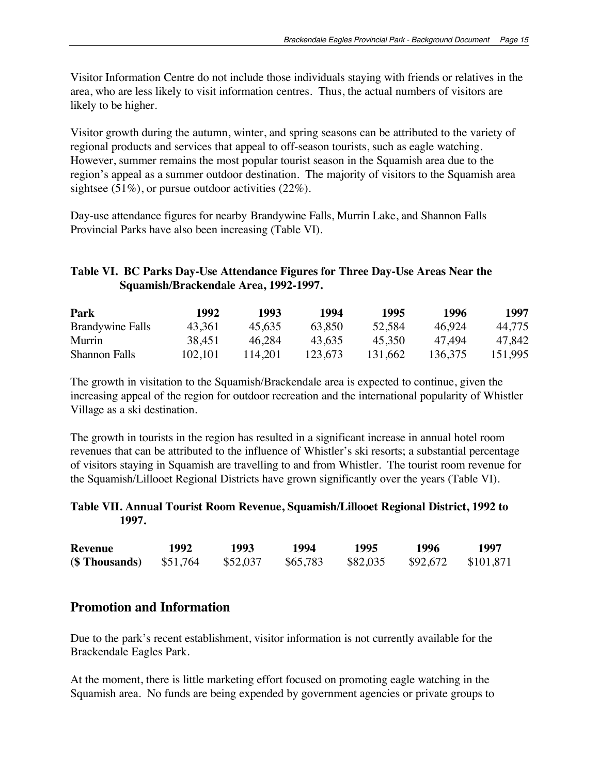Visitor Information Centre do not include those individuals staying with friends or relatives in the area, who are less likely to visit information centres. Thus, the actual numbers of visitors are likely to be higher.

Visitor growth during the autumn, winter, and spring seasons can be attributed to the variety of regional products and services that appeal to off-season tourists, such as eagle watching. However, summer remains the most popular tourist season in the Squamish area due to the region's appeal as a summer outdoor destination. The majority of visitors to the Squamish area sightsee  $(51\%)$ , or pursue outdoor activities  $(22\%)$ .

Day-use attendance figures for nearby Brandywine Falls, Murrin Lake, and Shannon Falls Provincial Parks have also been increasing (Table VI).

#### **Table VI. BC Parks Day-Use Attendance Figures for Three Day-Use Areas Near the Squamish/Brackendale Area, 1992-1997.**

| Park                    | 1992    | 1993    | 1994    | 1995    | 1996    | 1997    |
|-------------------------|---------|---------|---------|---------|---------|---------|
| <b>Brandywine Falls</b> | 43.361  | 45.635  | 63.850  | 52,584  | 46.924  | 44.775  |
| <b>Murrin</b>           | 38.451  | 46.284  | 43.635  | 45.350  | 47 494  | 47.842  |
| <b>Shannon Falls</b>    | 102.101 | 114.201 | 123.673 | 131.662 | 136,375 | 151.995 |

The growth in visitation to the Squamish/Brackendale area is expected to continue, given the increasing appeal of the region for outdoor recreation and the international popularity of Whistler Village as a ski destination.

The growth in tourists in the region has resulted in a significant increase in annual hotel room revenues that can be attributed to the influence of Whistler's ski resorts; a substantial percentage of visitors staying in Squamish are travelling to and from Whistler. The tourist room revenue for the Squamish/Lillooet Regional Districts have grown significantly over the years (Table VI).

#### **Table VII. Annual Tourist Room Revenue, Squamish/Lillooet Regional District, 1992 to 1997.**

| <b>Revenue</b>                | 1992 | 1993     | 1994     | 1995     | 1996                 | 1997 |
|-------------------------------|------|----------|----------|----------|----------------------|------|
| $($\> \> Thus and \; $51,764$ |      | \$52,037 | \$65,783 | \$82,035 | $$92,672$ $$101,871$ |      |

### **Promotion and Information**

Due to the park's recent establishment, visitor information is not currently available for the Brackendale Eagles Park.

At the moment, there is little marketing effort focused on promoting eagle watching in the Squamish area. No funds are being expended by government agencies or private groups to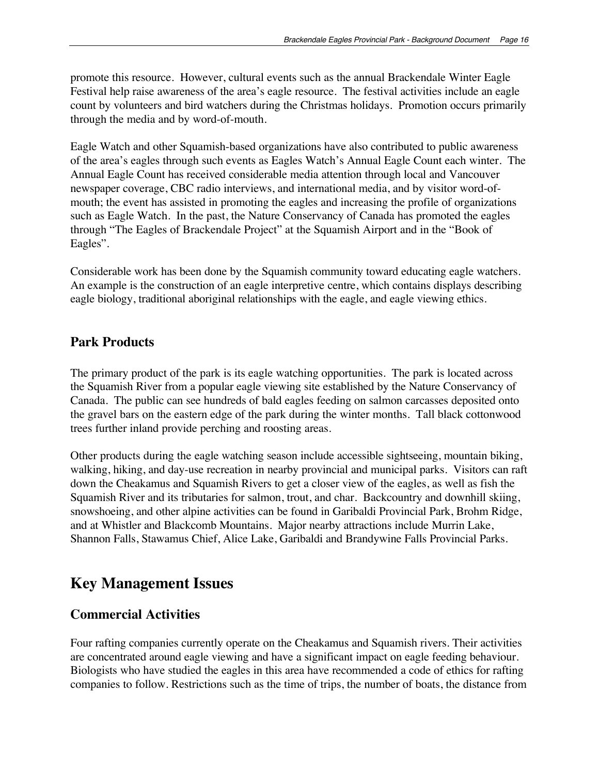promote this resource. However, cultural events such as the annual Brackendale Winter Eagle Festival help raise awareness of the area's eagle resource. The festival activities include an eagle count by volunteers and bird watchers during the Christmas holidays. Promotion occurs primarily through the media and by word-of-mouth.

Eagle Watch and other Squamish-based organizations have also contributed to public awareness of the area's eagles through such events as Eagles Watch's Annual Eagle Count each winter. The Annual Eagle Count has received considerable media attention through local and Vancouver newspaper coverage, CBC radio interviews, and international media, and by visitor word-ofmouth; the event has assisted in promoting the eagles and increasing the profile of organizations such as Eagle Watch. In the past, the Nature Conservancy of Canada has promoted the eagles through "The Eagles of Brackendale Project" at the Squamish Airport and in the "Book of Eagles".

Considerable work has been done by the Squamish community toward educating eagle watchers. An example is the construction of an eagle interpretive centre, which contains displays describing eagle biology, traditional aboriginal relationships with the eagle, and eagle viewing ethics.

#### **Park Products**

The primary product of the park is its eagle watching opportunities. The park is located across the Squamish River from a popular eagle viewing site established by the Nature Conservancy of Canada. The public can see hundreds of bald eagles feeding on salmon carcasses deposited onto the gravel bars on the eastern edge of the park during the winter months. Tall black cottonwood trees further inland provide perching and roosting areas.

Other products during the eagle watching season include accessible sightseeing, mountain biking, walking, hiking, and day-use recreation in nearby provincial and municipal parks. Visitors can raft down the Cheakamus and Squamish Rivers to get a closer view of the eagles, as well as fish the Squamish River and its tributaries for salmon, trout, and char. Backcountry and downhill skiing, snowshoeing, and other alpine activities can be found in Garibaldi Provincial Park, Brohm Ridge, and at Whistler and Blackcomb Mountains. Major nearby attractions include Murrin Lake, Shannon Falls, Stawamus Chief, Alice Lake, Garibaldi and Brandywine Falls Provincial Parks.

### **Key Management Issues**

#### **Commercial Activities**

Four rafting companies currently operate on the Cheakamus and Squamish rivers. Their activities are concentrated around eagle viewing and have a significant impact on eagle feeding behaviour. Biologists who have studied the eagles in this area have recommended a code of ethics for rafting companies to follow. Restrictions such as the time of trips, the number of boats, the distance from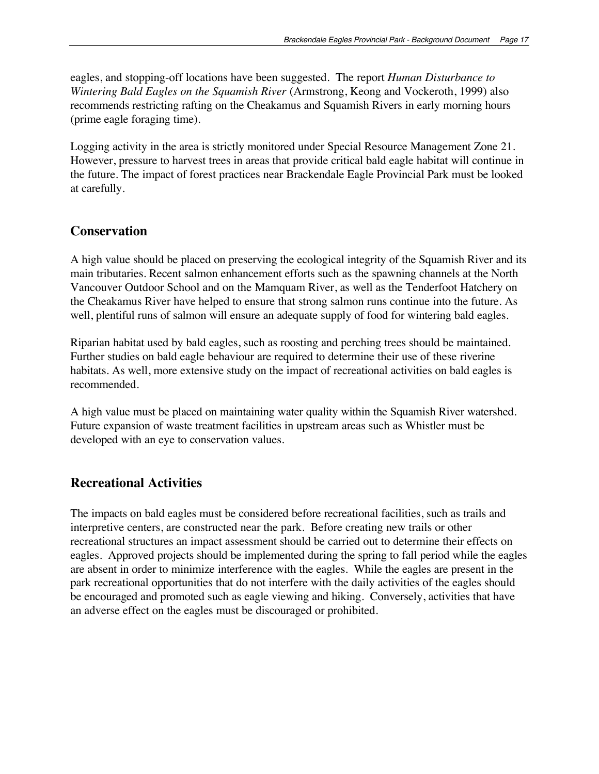eagles, and stopping-off locations have been suggested. The report *Human Disturbance to Wintering Bald Eagles on the Squamish River* (Armstrong, Keong and Vockeroth, 1999) also recommends restricting rafting on the Cheakamus and Squamish Rivers in early morning hours (prime eagle foraging time).

Logging activity in the area is strictly monitored under Special Resource Management Zone 21. However, pressure to harvest trees in areas that provide critical bald eagle habitat will continue in the future. The impact of forest practices near Brackendale Eagle Provincial Park must be looked at carefully.

#### **Conservation**

A high value should be placed on preserving the ecological integrity of the Squamish River and its main tributaries. Recent salmon enhancement efforts such as the spawning channels at the North Vancouver Outdoor School and on the Mamquam River, as well as the Tenderfoot Hatchery on the Cheakamus River have helped to ensure that strong salmon runs continue into the future. As well, plentiful runs of salmon will ensure an adequate supply of food for wintering bald eagles.

Riparian habitat used by bald eagles, such as roosting and perching trees should be maintained. Further studies on bald eagle behaviour are required to determine their use of these riverine habitats. As well, more extensive study on the impact of recreational activities on bald eagles is recommended.

A high value must be placed on maintaining water quality within the Squamish River watershed. Future expansion of waste treatment facilities in upstream areas such as Whistler must be developed with an eye to conservation values.

### **Recreational Activities**

The impacts on bald eagles must be considered before recreational facilities, such as trails and interpretive centers, are constructed near the park. Before creating new trails or other recreational structures an impact assessment should be carried out to determine their effects on eagles. Approved projects should be implemented during the spring to fall period while the eagles are absent in order to minimize interference with the eagles. While the eagles are present in the park recreational opportunities that do not interfere with the daily activities of the eagles should be encouraged and promoted such as eagle viewing and hiking. Conversely, activities that have an adverse effect on the eagles must be discouraged or prohibited.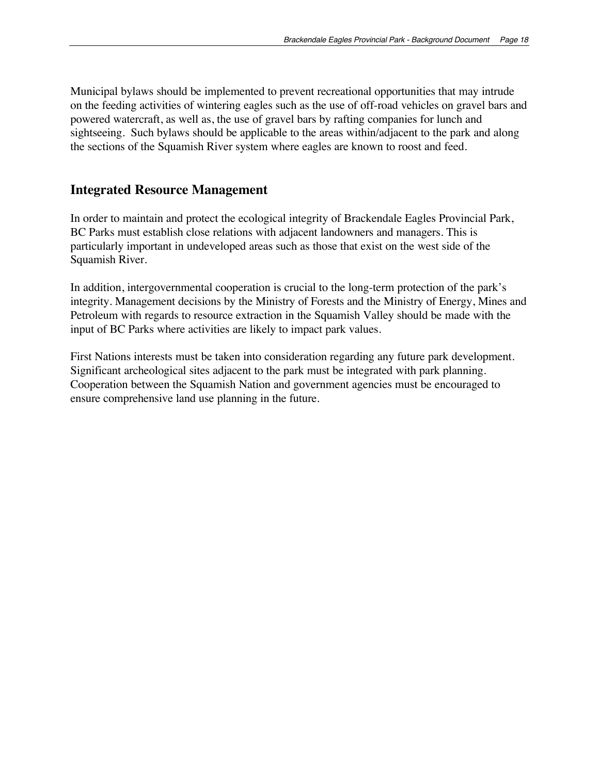Municipal bylaws should be implemented to prevent recreational opportunities that may intrude on the feeding activities of wintering eagles such as the use of off-road vehicles on gravel bars and powered watercraft, as well as, the use of gravel bars by rafting companies for lunch and sightseeing. Such bylaws should be applicable to the areas within/adjacent to the park and along the sections of the Squamish River system where eagles are known to roost and feed.

#### **Integrated Resource Management**

In order to maintain and protect the ecological integrity of Brackendale Eagles Provincial Park, BC Parks must establish close relations with adjacent landowners and managers. This is particularly important in undeveloped areas such as those that exist on the west side of the Squamish River.

In addition, intergovernmental cooperation is crucial to the long-term protection of the park's integrity. Management decisions by the Ministry of Forests and the Ministry of Energy, Mines and Petroleum with regards to resource extraction in the Squamish Valley should be made with the input of BC Parks where activities are likely to impact park values.

First Nations interests must be taken into consideration regarding any future park development. Significant archeological sites adjacent to the park must be integrated with park planning. Cooperation between the Squamish Nation and government agencies must be encouraged to ensure comprehensive land use planning in the future.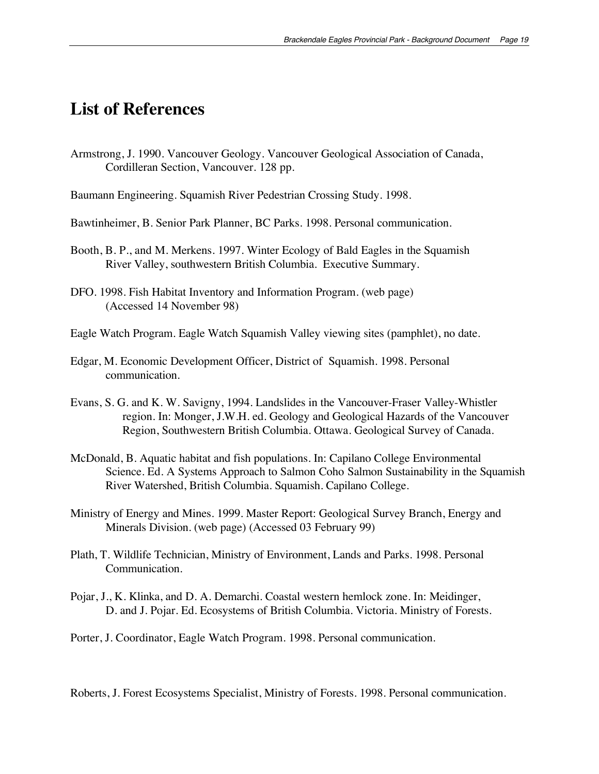### **List of References**

- Armstrong, J. 1990. Vancouver Geology. Vancouver Geological Association of Canada, Cordilleran Section, Vancouver. 128 pp.
- Baumann Engineering. Squamish River Pedestrian Crossing Study. 1998.
- Bawtinheimer, B. Senior Park Planner, BC Parks. 1998. Personal communication.
- Booth, B. P., and M. Merkens. 1997. Winter Ecology of Bald Eagles in the Squamish River Valley, southwestern British Columbia. Executive Summary.
- DFO. 1998. Fish Habitat Inventory and Information Program. (web page) (Accessed 14 November 98)
- Eagle Watch Program. Eagle Watch Squamish Valley viewing sites (pamphlet), no date.
- Edgar, M. Economic Development Officer, District of Squamish. 1998. Personal communication.
- Evans, S. G. and K. W. Savigny, 1994. Landslides in the Vancouver-Fraser Valley-Whistler region. In: Monger, J.W.H. ed. Geology and Geological Hazards of the Vancouver Region, Southwestern British Columbia. Ottawa. Geological Survey of Canada.
- McDonald, B. Aquatic habitat and fish populations. In: Capilano College Environmental Science. Ed. A Systems Approach to Salmon Coho Salmon Sustainability in the Squamish River Watershed, British Columbia. Squamish. Capilano College.
- Ministry of Energy and Mines. 1999. Master Report: Geological Survey Branch, Energy and Minerals Division. (web page) (Accessed 03 February 99)
- Plath, T. Wildlife Technician, Ministry of Environment, Lands and Parks. 1998. Personal Communication.
- Pojar, J., K. Klinka, and D. A. Demarchi. Coastal western hemlock zone. In: Meidinger, D. and J. Pojar. Ed. Ecosystems of British Columbia. Victoria. Ministry of Forests.
- Porter, J. Coordinator, Eagle Watch Program. 1998. Personal communication.

Roberts, J. Forest Ecosystems Specialist, Ministry of Forests. 1998. Personal communication.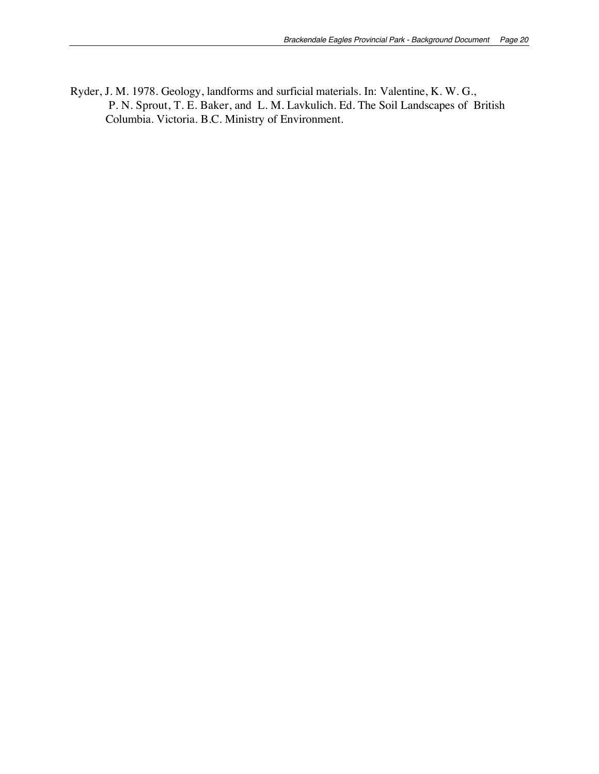Ryder, J. M. 1978. Geology, landforms and surficial materials. In: Valentine, K. W. G., P. N. Sprout, T. E. Baker, and L. M. Lavkulich. Ed. The Soil Landscapes of British Columbia. Victoria. B.C. Ministry of Environment.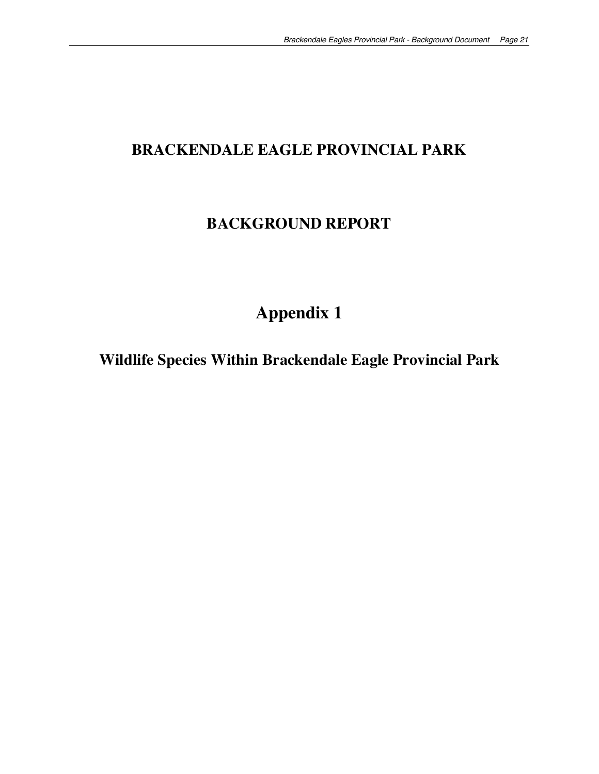# **BRACKENDALE EAGLE PROVINCIAL PARK**

### **BACKGROUND REPORT**

# **Appendix 1**

**Wildlife Species Within Brackendale Eagle Provincial Park**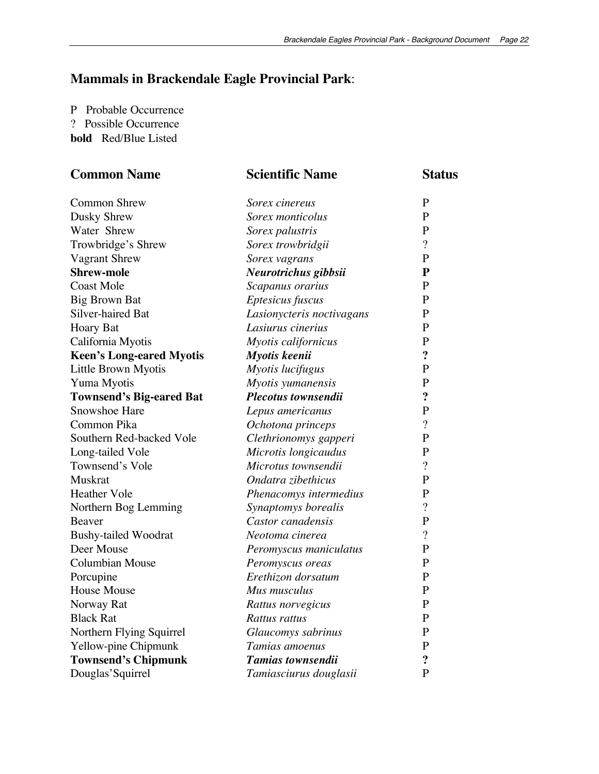## **Mammals in Brackendale Eagle Provincial Park**:

P Probable Occurrence ? Possible Occurrence **bold** Red/Blue Listed

| <b>Common Name</b>              | <b>Scientific Name</b>    | <b>Status</b>            |  |
|---------------------------------|---------------------------|--------------------------|--|
| <b>Common Shrew</b>             | Sorex cinereus            | $\mathbf{P}$             |  |
| Dusky Shrew                     | Sorex monticolus          | $\mathbf{P}$             |  |
| Water Shrew                     | Sorex palustris           | $\mathbf{P}$             |  |
| Trowbridge's Shrew              | Sorex trowbridgii         | $\overline{?}$           |  |
| <b>Vagrant Shrew</b>            | Sorex vagrans             | P                        |  |
| <b>Shrew-mole</b>               | Neurotrichus gibbsii      | ${\bf P}$                |  |
| <b>Coast Mole</b>               | Scapanus orarius          | $\mathbf{P}$             |  |
| <b>Big Brown Bat</b>            | Eptesicus fuscus          | $\mathbf{P}$             |  |
| Silver-haired Bat               | Lasionycteris noctivagans | $\mathbf{P}$             |  |
| <b>Hoary Bat</b>                | Lasiurus cinerius         | $\mathbf{P}$             |  |
| California Myotis               | Myotis californicus       | $\mathbf{P}$             |  |
| <b>Keen's Long-eared Myotis</b> | Myotis keenii             | $\ddot{?}$               |  |
| Little Brown Myotis             | Myotis lucifugus          | P                        |  |
| Yuma Myotis                     | Myotis yumanensis         | $\mathbf{P}$             |  |
| <b>Townsend's Big-eared Bat</b> | Plecotus townsendii       | $\ddot{?}$               |  |
| Snowshoe Hare                   | Lepus americanus          | $\mathbf{P}$             |  |
| Common Pika                     | Ochotona princeps         | $\overline{\cdot}$       |  |
| Southern Red-backed Vole        | Clethrionomys gapperi     | $\mathbf{P}$             |  |
| Long-tailed Vole                | Microtis longicaudus      | $\mathbf{P}$             |  |
| Townsend's Vole                 | Microtus townsendii       | $\overline{\cdot}$       |  |
| <b>Muskrat</b>                  | Ondatra zibethicus        | $\mathbf{P}$             |  |
| <b>Heather Vole</b>             | Phenacomys intermedius    | $\mathbf{P}$             |  |
| Northern Bog Lemming            | Synaptomys borealis       | $\overline{\mathcal{L}}$ |  |
| Beaver                          | Castor canadensis         | $\mathbf{P}$             |  |
| <b>Bushy-tailed Woodrat</b>     | Neotoma cinerea           | $\overline{?}$           |  |
| Deer Mouse                      | Peromyscus maniculatus    | $\mathbf{P}$             |  |
| <b>Columbian Mouse</b>          | Peromyscus oreas          | $\mathbf{P}$             |  |
| Porcupine                       | Erethizon dorsatum        | $\mathbf{P}$             |  |
| <b>House Mouse</b>              | Mus musculus              | $\mathbf{P}$             |  |
| Norway Rat                      | Rattus norvegicus         | $\mathbf{P}$             |  |
| <b>Black Rat</b>                | Rattus rattus             | $\mathbf{P}$             |  |
| Northern Flying Squirrel        | Glaucomys sabrinus        | $\mathbf{P}$             |  |
| Yellow-pine Chipmunk            | Tamias amoenus            | $\mathbf{P}$             |  |
| <b>Townsend's Chipmunk</b>      | Tamias townsendii         | $\ddot{\cdot}$           |  |
| Douglas'Squirrel                | Tamiasciurus douglasii    | $\mathbf{P}$             |  |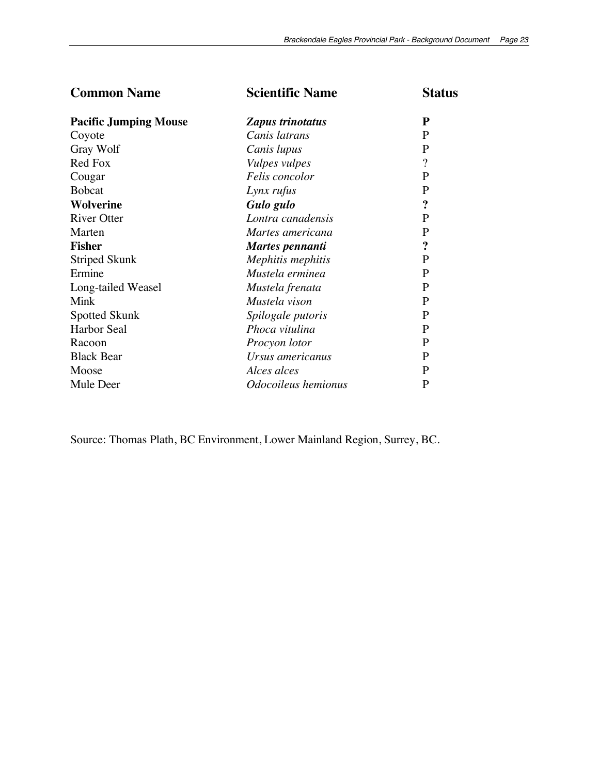| <b>Common Name</b>           | <b>Scientific Name</b> | <b>Status</b>            |
|------------------------------|------------------------|--------------------------|
| <b>Pacific Jumping Mouse</b> | Zapus trinotatus       | P                        |
| Coyote                       | Canis latrans          | P                        |
| Gray Wolf                    | Canis lupus            | P                        |
| Red Fox                      | <i>Vulpes vulpes</i>   | $\overline{\mathcal{L}}$ |
| Cougar                       | Felis concolor         | $\mathbf{P}$             |
| <b>Bobcat</b>                | Lynx rufus             | $\mathbf{P}$             |
| <b>Wolverine</b>             | Gulo gulo              | $\ddot{\cdot}$           |
| <b>River Otter</b>           | Lontra canadensis      | P                        |
| Marten                       | Martes americana       | P                        |
| <b>Fisher</b>                | Martes pennanti        | $\ddot{\cdot}$           |
| Striped Skunk                | Mephitis mephitis      | P                        |
| Ermine                       | Mustela erminea        | $\mathbf{P}$             |
| Long-tailed Weasel           | Mustela frenata        | P                        |
| Mink                         | Mustela vison          | P                        |
| Spotted Skunk                | Spilogale putoris      | $\mathbf{P}$             |
| Harbor Seal                  | Phoca vitulina         | P                        |
| Racoon                       | Procyon lotor          | P                        |
| <b>Black Bear</b>            | Ursus americanus       | P                        |
| Moose                        | Alces alces            | P                        |
| Mule Deer                    | Odocoileus hemionus    | P                        |

Source: Thomas Plath, BC Environment, Lower Mainland Region, Surrey, BC.